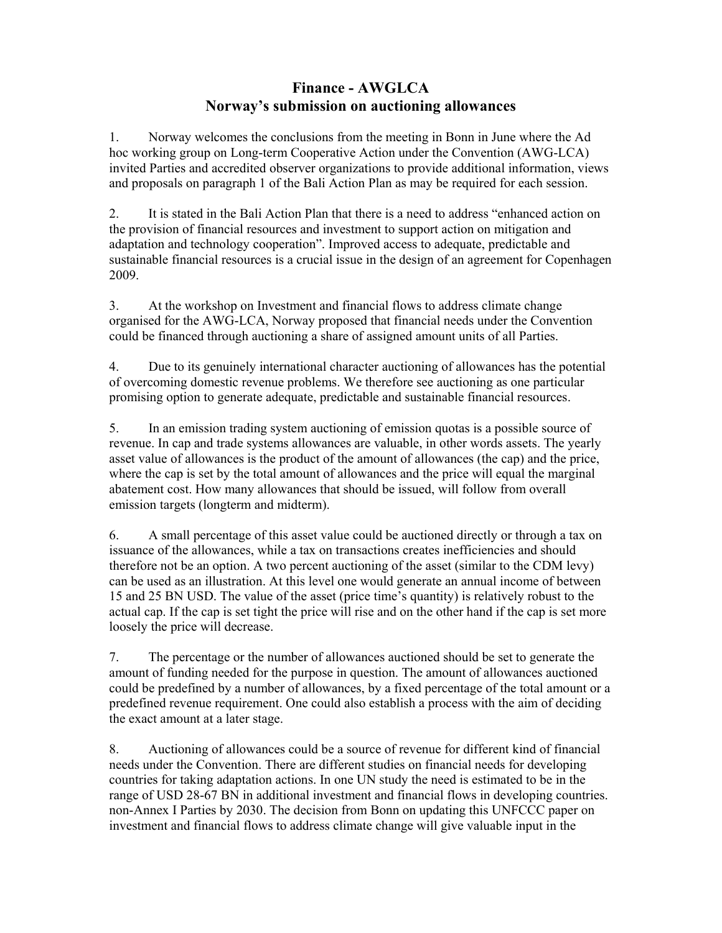## **Finance - AWGLCA Norway's submission on auctioning allowances**

1. Norway welcomes the conclusions from the meeting in Bonn in June where the Ad hoc working group on Long-term Cooperative Action under the Convention (AWG-LCA) invited Parties and accredited observer organizations to provide additional information, views and proposals on paragraph 1 of the Bali Action Plan as may be required for each session.

2. It is stated in the Bali Action Plan that there is a need to address "enhanced action on the provision of financial resources and investment to support action on mitigation and adaptation and technology cooperation". Improved access to adequate, predictable and sustainable financial resources is a crucial issue in the design of an agreement for Copenhagen 2009.

3. At the workshop on Investment and financial flows to address climate change organised for the AWG-LCA, Norway proposed that financial needs under the Convention could be financed through auctioning a share of assigned amount units of all Parties.

4. Due to its genuinely international character auctioning of allowances has the potential of overcoming domestic revenue problems. We therefore see auctioning as one particular promising option to generate adequate, predictable and sustainable financial resources.

5. In an emission trading system auctioning of emission quotas is a possible source of revenue. In cap and trade systems allowances are valuable, in other words assets. The yearly asset value of allowances is the product of the amount of allowances (the cap) and the price, where the cap is set by the total amount of allowances and the price will equal the marginal abatement cost. How many allowances that should be issued, will follow from overall emission targets (longterm and midterm).

6. A small percentage of this asset value could be auctioned directly or through a tax on issuance of the allowances, while a tax on transactions creates inefficiencies and should therefore not be an option. A two percent auctioning of the asset (similar to the CDM levy) can be used as an illustration. At this level one would generate an annual income of between 15 and 25 BN USD. The value of the asset (price time's quantity) is relatively robust to the actual cap. If the cap is set tight the price will rise and on the other hand if the cap is set more loosely the price will decrease.

7. The percentage or the number of allowances auctioned should be set to generate the amount of funding needed for the purpose in question. The amount of allowances auctioned could be predefined by a number of allowances, by a fixed percentage of the total amount or a predefined revenue requirement. One could also establish a process with the aim of deciding the exact amount at a later stage.

8. Auctioning of allowances could be a source of revenue for different kind of financial needs under the Convention. There are different studies on financial needs for developing countries for taking adaptation actions. In one UN study the need is estimated to be in the range of USD 28-67 BN in additional investment and financial flows in developing countries. non-Annex I Parties by 2030. The decision from Bonn on updating this UNFCCC paper on investment and financial flows to address climate change will give valuable input in the